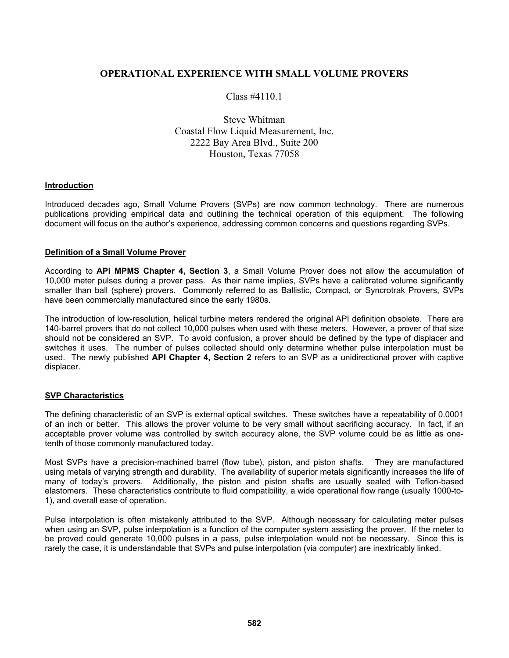# **OPERATIONAL EXPERIENCE WITH SMALL VOLUME PROVERS**

Class #4110.1

Steve Whitman Coastal Flow Liquid Measurement, Inc. 2222 Bay Area Blvd., Suite 200 Houston, Texas 77058

### **Introduction**

Introduced decades ago, Small Volume Provers (SVPs) are now common technology. There are numerous publications providing empirical data and outlining the technical operation of this equipment. The following document will focus on the author's experience, addressing common concerns and questions regarding SVPs.

#### **Definition of a Small Volume Prover**

According to **API MPMS Chapter 4, Section 3**, a Small Volume Prover does not allow the accumulation of 10,000 meter pulses during a prover pass. As their name implies, SVPs have a calibrated volume significantly smaller than ball (sphere) provers. Commonly referred to as Ballistic, Compact, or Syncrotrak Provers, SVPs have been commercially manufactured since the early 1980s.

The introduction of low-resolution, helical turbine meters rendered the original API definition obsolete. There are 140-barrel provers that do not collect 10,000 pulses when used with these meters. However, a prover of that size should not be considered an SVP. To avoid confusion, a prover should be defined by the type of displacer and switches it uses. The number of pulses collected should only determine whether pulse interpolation must be used. The newly published **API Chapter 4, Section 2** refers to an SVP as a unidirectional prover with captive displacer.

### **SVP Characteristics**

The defining characteristic of an SVP is external optical switches. These switches have a repeatability of 0.0001 of an inch or better. This allows the prover volume to be very small without sacrificing accuracy. In fact, if an acceptable prover volume was controlled by switch accuracy alone, the SVP volume could be as little as onetenth of those commonly manufactured today.

Most SVPs have a precision-machined barrel (flow tube), piston, and piston shafts. They are manufactured using metals of varying strength and durability. The availability of superior metals significantly increases the life of many of today's provers. Additionally, the piston and piston shafts are usually sealed with Teflon-based elastomers. These characteristics contribute to fluid compatibility, a wide operational flow range (usually 1000-to-1), and overall ease of operation.

Pulse interpolation is often mistakenly attributed to the SVP. Although necessary for calculating meter pulses when using an SVP, pulse interpolation is a function of the computer system assisting the prover. If the meter to be proved could generate 10,000 pulses in a pass, pulse interpolation would not be necessary. Since this is rarely the case, it is understandable that SVPs and pulse interpolation (via computer) are inextricably linked.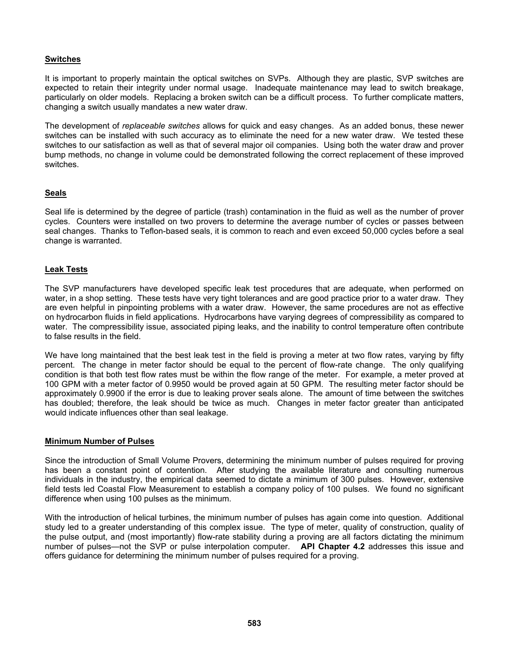# **Switches**

It is important to properly maintain the optical switches on SVPs. Although they are plastic, SVP switches are expected to retain their integrity under normal usage. Inadequate maintenance may lead to switch breakage, particularly on older models. Replacing a broken switch can be a difficult process. To further complicate matters, changing a switch usually mandates a new water draw.

The development of *replaceable switches* allows for quick and easy changes. As an added bonus, these newer switches can be installed with such accuracy as to eliminate the need for a new water draw. We tested these switches to our satisfaction as well as that of several major oil companies. Using both the water draw and prover bump methods, no change in volume could be demonstrated following the correct replacement of these improved switches.

## **Seals**

Seal life is determined by the degree of particle (trash) contamination in the fluid as well as the number of prover cycles. Counters were installed on two provers to determine the average number of cycles or passes between seal changes. Thanks to Teflon-based seals, it is common to reach and even exceed 50,000 cycles before a seal change is warranted.

## **Leak Tests**

The SVP manufacturers have developed specific leak test procedures that are adequate, when performed on water, in a shop setting. These tests have very tight tolerances and are good practice prior to a water draw. They are even helpful in pinpointing problems with a water draw. However, the same procedures are not as effective on hydrocarbon fluids in field applications. Hydrocarbons have varying degrees of compressibility as compared to water. The compressibility issue, associated piping leaks, and the inability to control temperature often contribute to false results in the field.

We have long maintained that the best leak test in the field is proving a meter at two flow rates, varying by fifty percent. The change in meter factor should be equal to the percent of flow-rate change. The only qualifying condition is that both test flow rates must be within the flow range of the meter. For example, a meter proved at 100 GPM with a meter factor of 0.9950 would be proved again at 50 GPM. The resulting meter factor should be approximately 0.9900 if the error is due to leaking prover seals alone. The amount of time between the switches has doubled; therefore, the leak should be twice as much. Changes in meter factor greater than anticipated would indicate influences other than seal leakage.

## **Minimum Number of Pulses**

Since the introduction of Small Volume Provers, determining the minimum number of pulses required for proving has been a constant point of contention. After studying the available literature and consulting numerous individuals in the industry, the empirical data seemed to dictate a minimum of 300 pulses. However, extensive field tests led Coastal Flow Measurement to establish a company policy of 100 pulses. We found no significant difference when using 100 pulses as the minimum.

With the introduction of helical turbines, the minimum number of pulses has again come into question. Additional study led to a greater understanding of this complex issue. The type of meter, quality of construction, quality of the pulse output, and (most importantly) flow-rate stability during a proving are all factors dictating the minimum number of pulses—not the SVP or pulse interpolation computer. **API Chapter 4.2** addresses this issue and offers guidance for determining the minimum number of pulses required for a proving.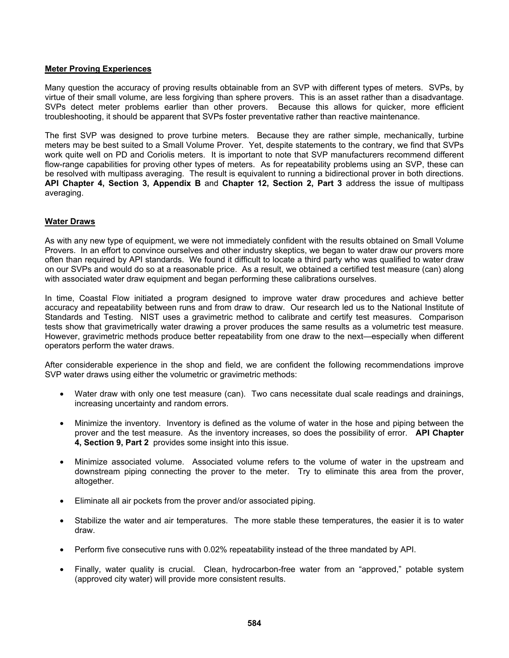### **Meter Proving Experiences**

Many question the accuracy of proving results obtainable from an SVP with different types of meters. SVPs, by virtue of their small volume, are less forgiving than sphere provers. This is an asset rather than a disadvantage. SVPs detect meter problems earlier than other provers. Because this allows for quicker, more efficient troubleshooting, it should be apparent that SVPs foster preventative rather than reactive maintenance.

The first SVP was designed to prove turbine meters. Because they are rather simple, mechanically, turbine meters may be best suited to a Small Volume Prover. Yet, despite statements to the contrary, we find that SVPs work quite well on PD and Coriolis meters. It is important to note that SVP manufacturers recommend different flow-range capabilities for proving other types of meters. As for repeatability problems using an SVP, these can be resolved with multipass averaging. The result is equivalent to running a bidirectional prover in both directions. **API Chapter 4, Section 3, Appendix B** and **Chapter 12, Section 2, Part 3** address the issue of multipass averaging.

## **Water Draws**

As with any new type of equipment, we were not immediately confident with the results obtained on Small Volume Provers. In an effort to convince ourselves and other industry skeptics, we began to water draw our provers more often than required by API standards. We found it difficult to locate a third party who was qualified to water draw on our SVPs and would do so at a reasonable price. As a result, we obtained a certified test measure (can) along with associated water draw equipment and began performing these calibrations ourselves.

In time, Coastal Flow initiated a program designed to improve water draw procedures and achieve better accuracy and repeatability between runs and from draw to draw. Our research led us to the National Institute of Standards and Testing. NIST uses a gravimetric method to calibrate and certify test measures. Comparison tests show that gravimetrically water drawing a prover produces the same results as a volumetric test measure. However, gravimetric methods produce better repeatability from one draw to the next—especially when different operators perform the water draws.

After considerable experience in the shop and field, we are confident the following recommendations improve SVP water draws using either the volumetric or gravimetric methods:

- Water draw with only one test measure (can). Two cans necessitate dual scale readings and drainings, increasing uncertainty and random errors.
- Minimize the inventory. Inventory is defined as the volume of water in the hose and piping between the prover and the test measure. As the inventory increases, so does the possibility of error. **API Chapter 4, Section 9, Part 2** provides some insight into this issue.
- Minimize associated volume. Associated volume refers to the volume of water in the upstream and downstream piping connecting the prover to the meter. Try to eliminate this area from the prover, altogether.
- Eliminate all air pockets from the prover and/or associated piping.
- Stabilize the water and air temperatures. The more stable these temperatures, the easier it is to water draw.
- Perform five consecutive runs with 0.02% repeatability instead of the three mandated by API.
- Finally, water quality is crucial. Clean, hydrocarbon-free water from an "approved," potable system (approved city water) will provide more consistent results.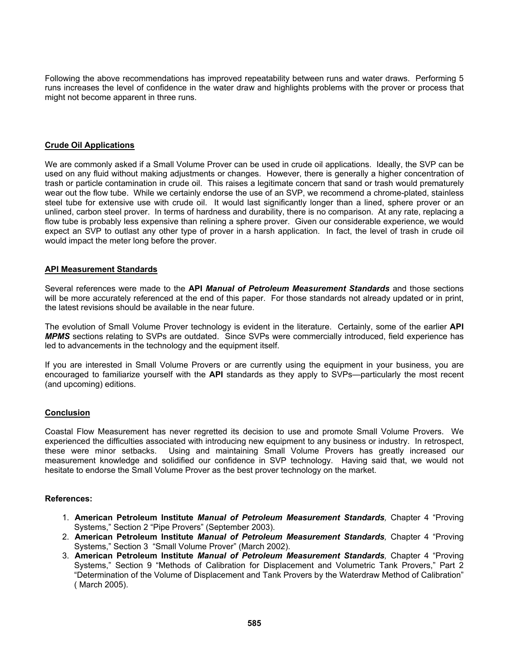Following the above recommendations has improved repeatability between runs and water draws. Performing 5 runs increases the level of confidence in the water draw and highlights problems with the prover or process that might not become apparent in three runs.

### **Crude Oil Applications**

We are commonly asked if a Small Volume Prover can be used in crude oil applications. Ideally, the SVP can be used on any fluid without making adjustments or changes. However, there is generally a higher concentration of trash or particle contamination in crude oil. This raises a legitimate concern that sand or trash would prematurely wear out the flow tube. While we certainly endorse the use of an SVP, we recommend a chrome-plated, stainless steel tube for extensive use with crude oil. It would last significantly longer than a lined, sphere prover or an unlined, carbon steel prover. In terms of hardness and durability, there is no comparison. At any rate, replacing a flow tube is probably less expensive than relining a sphere prover. Given our considerable experience, we would expect an SVP to outlast any other type of prover in a harsh application. In fact, the level of trash in crude oil would impact the meter long before the prover.

### **API Measurement Standards**

Several references were made to the **API** *Manual of Petroleum Measurement Standards* and those sections will be more accurately referenced at the end of this paper. For those standards not already updated or in print, the latest revisions should be available in the near future.

The evolution of Small Volume Prover technology is evident in the literature. Certainly, some of the earlier **API**  *MPMS* sections relating to SVPs are outdated. Since SVPs were commercially introduced, field experience has led to advancements in the technology and the equipment itself.

If you are interested in Small Volume Provers or are currently using the equipment in your business, you are encouraged to familiarize yourself with the **API** standards as they apply to SVPs—particularly the most recent (and upcoming) editions.

### **Conclusion**

Coastal Flow Measurement has never regretted its decision to use and promote Small Volume Provers. We experienced the difficulties associated with introducing new equipment to any business or industry. In retrospect, these were minor setbacks. Using and maintaining Small Volume Provers has greatly increased our measurement knowledge and solidified our confidence in SVP technology. Having said that, we would not hesitate to endorse the Small Volume Prover as the best prover technology on the market.

### **References:**

- 1. **American Petroleum Institute** *Manual of Petroleum Measurement Standards,* Chapter 4 "Proving Systems," Section 2 "Pipe Provers" (September 2003).
- 2. **American Petroleum Institute** *Manual of Petroleum Measurement Standards,* Chapter 4 "Proving Systems," Section 3 "Small Volume Prover" (March 2002).
- 3. **American Petroleum Institute** *Manual of Petroleum Measurement Standards,* Chapter 4 "Proving Systems," Section 9 "Methods of Calibration for Displacement and Volumetric Tank Provers," Part 2 "Determination of the Volume of Displacement and Tank Provers by the Waterdraw Method of Calibration" ( March 2005).